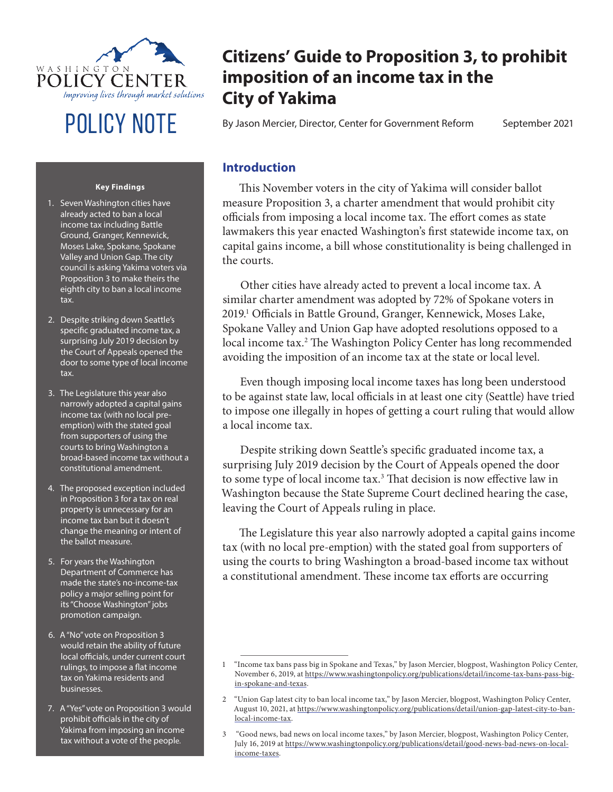

#### **Key Findings**

- 1. Seven Washington cities have already acted to ban a local income tax including Battle Ground, Granger, Kennewick, Moses Lake, Spokane, Spokane Valley and Union Gap. The city council is asking Yakima voters via Proposition 3 to make theirs the eighth city to ban a local income tax.
- 2. Despite striking down Seattle's specific graduated income tax, a surprising July 2019 decision by the Court of Appeals opened the door to some type of local income tax.
- 3. The Legislature this year also narrowly adopted a capital gains income tax (with no local preemption) with the stated goal from supporters of using the courts to bring Washington a broad-based income tax without a constitutional amendment.
- 4. The proposed exception included in Proposition 3 for a tax on real property is unnecessary for an income tax ban but it doesn't change the meaning or intent of the ballot measure.
- 5. For years the Washington Department of Commerce has made the state's no-income-tax policy a major selling point for its "Choose Washington" jobs promotion campaign.
- 6. A "No" vote on Proposition 3 would retain the ability of future local officials, under current court rulings, to impose a flat income tax on Yakima residents and businesses.
- 7. A "Yes" vote on Proposition 3 would prohibit officials in the city of Yakima from imposing an income tax without a vote of the people.

# **Citizens' Guide to Proposition 3, to prohibit imposition of an income tax in the City of Yakima**

POLICY NOTE By Jason Mercier, Director, Center for Government Reform September 2021

### **Introduction**

This November voters in the city of Yakima will consider ballot measure Proposition 3, a charter amendment that would prohibit city officials from imposing a local income tax. The effort comes as state lawmakers this year enacted Washington's first statewide income tax, on capital gains income, a bill whose constitutionality is being challenged in the courts.

Other cities have already acted to prevent a local income tax. A similar charter amendment was adopted by 72% of Spokane voters in 2019.<sup>1</sup> Officials in Battle Ground, Granger, Kennewick, Moses Lake, Spokane Valley and Union Gap have adopted resolutions opposed to a local income tax.2 The Washington Policy Center has long recommended avoiding the imposition of an income tax at the state or local level.

Even though imposing local income taxes has long been understood to be against state law, local officials in at least one city (Seattle) have tried to impose one illegally in hopes of getting a court ruling that would allow a local income tax.

Despite striking down Seattle's specific graduated income tax, a surprising July 2019 decision by the Court of Appeals opened the door to some type of local income tax.<sup>3</sup> That decision is now effective law in Washington because the State Supreme Court declined hearing the case, leaving the Court of Appeals ruling in place.

The Legislature this year also narrowly adopted a capital gains income tax (with no local pre-emption) with the stated goal from supporters of using the courts to bring Washington a broad-based income tax without a constitutional amendment. These income tax efforts are occurring

<sup>1</sup> "Income tax bans pass big in Spokane and Texas," by Jason Mercier, blogpost, Washington Policy Center, November 6, 2019, at https://www.washingtonpolicy.org/publications/detail/income-tax-bans-pass-bigin-spokane-and-texas.

<sup>2</sup> "Union Gap latest city to ban local income tax," by Jason Mercier, blogpost, Washington Policy Center, August 10, 2021, at https://www.washingtonpolicy.org/publications/detail/union-gap-latest-city-to-banlocal-income-tax.

<sup>3 &</sup>quot;Good news, bad news on local income taxes," by Jason Mercier, blogpost, Washington Policy Center, July 16, 2019 at https://www.washingtonpolicy.org/publications/detail/good-news-bad-news-on-localincome-taxes.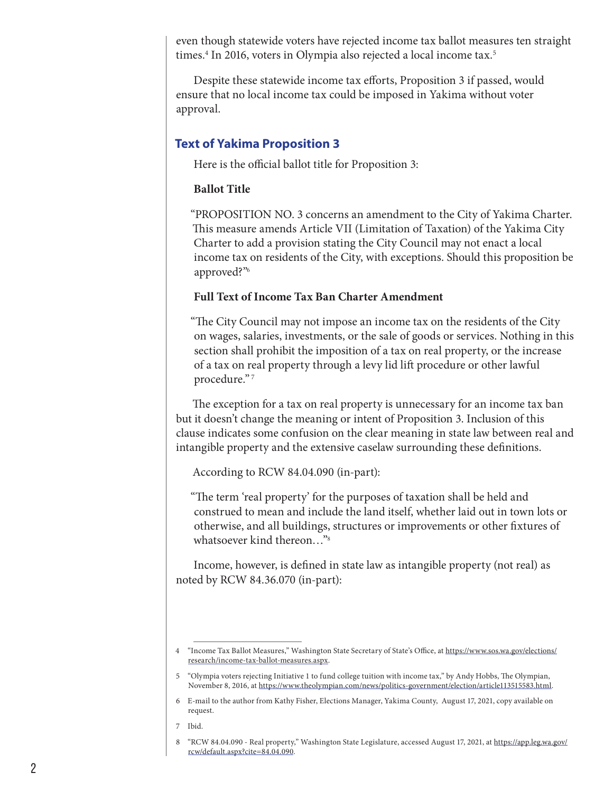even though statewide voters have rejected income tax ballot measures ten straight times.4 In 2016, voters in Olympia also rejected a local income tax.5

Despite these statewide income tax efforts, Proposition 3 if passed, would ensure that no local income tax could be imposed in Yakima without voter approval.

## **Text of Yakima Proposition 3**

Here is the official ballot title for Proposition 3:

#### **Ballot Title**

"PROPOSITION NO. 3 concerns an amendment to the City of Yakima Charter. This measure amends Article VII (Limitation of Taxation) of the Yakima City Charter to add a provision stating the City Council may not enact a local income tax on residents of the City, with exceptions. Should this proposition be approved?"<sup>6</sup>

### **Full Text of Income Tax Ban Charter Amendment**

"The City Council may not impose an income tax on the residents of the City on wages, salaries, investments, or the sale of goods or services. Nothing in this section shall prohibit the imposition of a tax on real property, or the increase of a tax on real property through a levy lid lift procedure or other lawful procedure." 7

The exception for a tax on real property is unnecessary for an income tax ban but it doesn't change the meaning or intent of Proposition 3. Inclusion of this clause indicates some confusion on the clear meaning in state law between real and intangible property and the extensive caselaw surrounding these definitions.

According to RCW 84.04.090 (in-part):

"The term 'real property' for the purposes of taxation shall be held and construed to mean and include the land itself, whether laid out in town lots or otherwise, and all buildings, structures or improvements or other fixtures of whatsoever kind thereon…"<sup>8</sup>

Income, however, is defined in state law as intangible property (not real) as noted by RCW 84.36.070 (in-part):

<sup>4</sup> "Income Tax Ballot Measures," Washington State Secretary of State's Office, at https://www.sos.wa.gov/elections/ research/income-tax-ballot-measures.aspx.

<sup>5</sup> "Olympia voters rejecting Initiative 1 to fund college tuition with income tax," by Andy Hobbs, The Olympian, November 8, 2016, at https://www.theolympian.com/news/politics-government/election/article113515583.html.

<sup>6</sup> E-mail to the author from Kathy Fisher, Elections Manager, Yakima County, August 17, 2021, copy available on request.

<sup>7</sup> Ibid.

<sup>8</sup> "RCW 84.04.090 - Real property," Washington State Legislature, accessed August 17, 2021, at https://app.leg.wa.gov/ rcw/default.aspx?cite=84.04.090.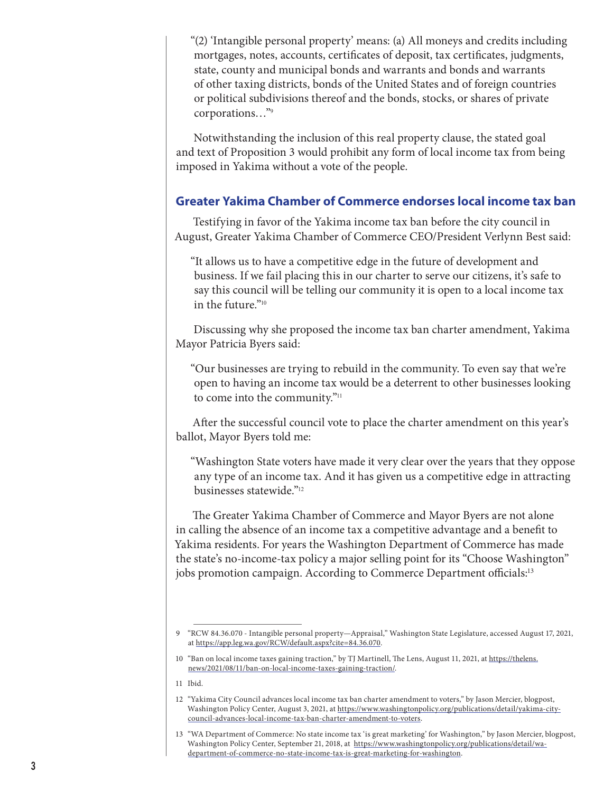"(2) 'Intangible personal property' means: (a) All moneys and credits including mortgages, notes, accounts, certificates of deposit, tax certificates, judgments, state, county and municipal bonds and warrants and bonds and warrants of other taxing districts, bonds of the United States and of foreign countries or political subdivisions thereof and the bonds, stocks, or shares of private corporations…"<sup>9</sup>

Notwithstanding the inclusion of this real property clause, the stated goal and text of Proposition 3 would prohibit any form of local income tax from being imposed in Yakima without a vote of the people.

### **Greater Yakima Chamber of Commerce endorses local income tax ban**

Testifying in favor of the Yakima income tax ban before the city council in August, Greater Yakima Chamber of Commerce CEO/President Verlynn Best said:

"It allows us to have a competitive edge in the future of development and business. If we fail placing this in our charter to serve our citizens, it's safe to say this council will be telling our community it is open to a local income tax in the future."<sup>10</sup>

Discussing why she proposed the income tax ban charter amendment, Yakima Mayor Patricia Byers said:

"Our businesses are trying to rebuild in the community. To even say that we're open to having an income tax would be a deterrent to other businesses looking to come into the community."<sup>11</sup>

After the successful council vote to place the charter amendment on this year's ballot, Mayor Byers told me:

"Washington State voters have made it very clear over the years that they oppose any type of an income tax. And it has given us a competitive edge in attracting businesses statewide."<sup>12</sup>

The Greater Yakima Chamber of Commerce and Mayor Byers are not alone in calling the absence of an income tax a competitive advantage and a benefit to Yakima residents. For years the Washington Department of Commerce has made the state's no-income-tax policy a major selling point for its "Choose Washington" jobs promotion campaign. According to Commerce Department officials:13

<sup>9</sup> "RCW 84.36.070 - Intangible personal property—Appraisal," Washington State Legislature, accessed August 17, 2021, at https://app.leg.wa.gov/RCW/default.aspx?cite=84.36.070.

<sup>10</sup> "Ban on local income taxes gaining traction," by TJ Martinell, The Lens, August 11, 2021, at https://thelens. news/2021/08/11/ban-on-local-income-taxes-gaining-traction/.

<sup>11</sup> Ibid.

<sup>12</sup> "Yakima City Council advances local income tax ban charter amendment to voters," by Jason Mercier, blogpost, Washington Policy Center, August 3, 2021, at https://www.washingtonpolicy.org/publications/detail/yakima-citycouncil-advances-local-income-tax-ban-charter-amendment-to-voters.

<sup>13</sup> "WA Department of Commerce: No state income tax 'is great marketing' for Washington," by Jason Mercier, blogpost, Washington Policy Center, September 21, 2018, at https://www.washingtonpolicy.org/publications/detail/wadepartment-of-commerce-no-state-income-tax-is-great-marketing-for-washington.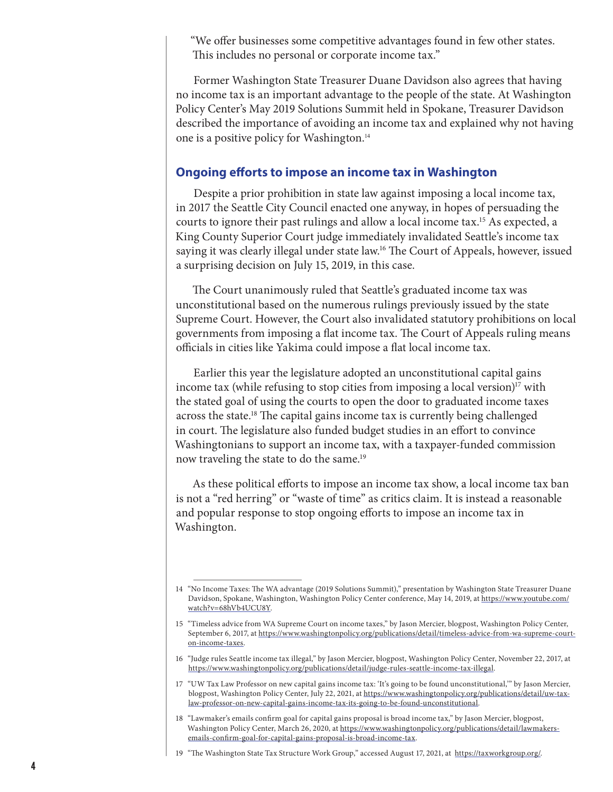"We offer businesses some competitive advantages found in few other states. This includes no personal or corporate income tax."

Former Washington State Treasurer Duane Davidson also agrees that having no income tax is an important advantage to the people of the state. At Washington Policy Center's May 2019 Solutions Summit held in Spokane, Treasurer Davidson described the importance of avoiding an income tax and explained why not having one is a positive policy for Washington.<sup>14</sup>

#### **Ongoing efforts to impose an income tax in Washington**

Despite a prior prohibition in state law against imposing a local income tax, in 2017 the Seattle City Council enacted one anyway, in hopes of persuading the courts to ignore their past rulings and allow a local income tax.15 As expected, a King County Superior Court judge immediately invalidated Seattle's income tax saying it was clearly illegal under state law.16 The Court of Appeals, however, issued a surprising decision on July 15, 2019, in this case.

The Court unanimously ruled that Seattle's graduated income tax was unconstitutional based on the numerous rulings previously issued by the state Supreme Court. However, the Court also invalidated statutory prohibitions on local governments from imposing a flat income tax. The Court of Appeals ruling means officials in cities like Yakima could impose a flat local income tax.

Earlier this year the legislature adopted an unconstitutional capital gains income tax (while refusing to stop cities from imposing a local version)<sup>17</sup> with the stated goal of using the courts to open the door to graduated income taxes across the state.18 The capital gains income tax is currently being challenged in court. The legislature also funded budget studies in an effort to convince Washingtonians to support an income tax, with a taxpayer-funded commission now traveling the state to do the same.<sup>19</sup>

As these political efforts to impose an income tax show, a local income tax ban is not a "red herring" or "waste of time" as critics claim. It is instead a reasonable and popular response to stop ongoing efforts to impose an income tax in Washington.

<sup>14</sup> "No Income Taxes: The WA advantage (2019 Solutions Summit)," presentation by Washington State Treasurer Duane Davidson, Spokane, Washington, Washington Policy Center conference, May 14, 2019, at https://www.youtube.com/ watch?v=68hVb4UCU8Y.

<sup>15</sup> "Timeless advice from WA Supreme Court on income taxes," by Jason Mercier, blogpost, Washington Policy Center, September 6, 2017, at https://www.washingtonpolicy.org/publications/detail/timeless-advice-from-wa-supreme-courton-income-taxes.

<sup>16</sup> "Judge rules Seattle income tax illegal," by Jason Mercier, blogpost, Washington Policy Center, November 22, 2017, at https://www.washingtonpolicy.org/publications/detail/judge-rules-seattle-income-tax-illegal.

<sup>17</sup> "UW Tax Law Professor on new capital gains income tax: 'It's going to be found unconstitutional,'" by Jason Mercier, blogpost, Washington Policy Center, July 22, 2021, at https://www.washingtonpolicy.org/publications/detail/uw-taxlaw-professor-on-new-capital-gains-income-tax-its-going-to-be-found-unconstitutional.

<sup>18</sup> "Lawmaker's emails confirm goal for capital gains proposal is broad income tax," by Jason Mercier, blogpost, Washington Policy Center, March 26, 2020, at https://www.washingtonpolicy.org/publications/detail/lawmakersemails-confirm-goal-for-capital-gains-proposal-is-broad-income-tax.

<sup>19</sup> "The Washington State Tax Structure Work Group," accessed August 17, 2021, at https://taxworkgroup.org/.